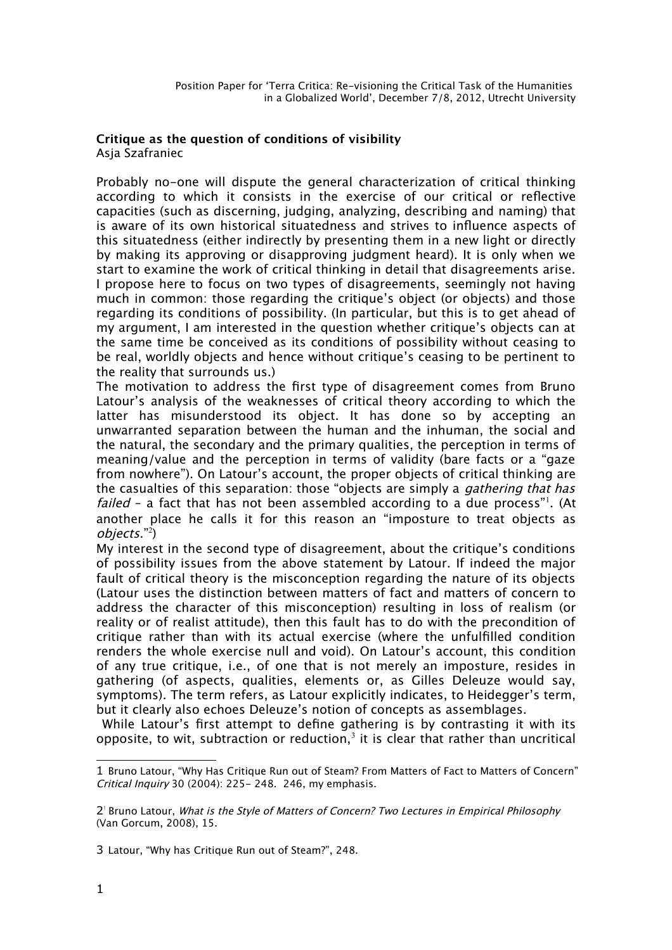## **Critique as the question of conditions of visibility** Asja Szafraniec

Probably no-one will dispute the general characterization of critical thinking according to which it consists in the exercise of our critical or refective capacities (such as discerning, judging, analyzing, describing and naming) that is aware of its own historical situatedness and strives to infuence aspects of this situatedness (either indirectly by presenting them in a new light or directly by making its approving or disapproving judgment heard). It is only when we start to examine the work of critical thinking in detail that disagreements arise. I propose here to focus on two types of disagreements, seemingly not having much in common: those regarding the critique's object (or objects) and those regarding its conditions of possibility. (In particular, but this is to get ahead of my argument, I am interested in the question whether critique's objects can at the same time be conceived as its conditions of possibility without ceasing to be real, worldly objects and hence without critique's ceasing to be pertinent to the reality that surrounds us.)

The motivation to address the frst type of disagreement comes from Bruno Latour's analysis of the weaknesses of critical theory according to which the latter has misunderstood its object. It has done so by accepting an unwarranted separation between the human and the inhuman, the social and the natural, the secondary and the primary qualities, the perception in terms of meaning/value and the perception in terms of validity (bare facts or a "gaze from nowhere"). On Latour's account, the proper objects of critical thinking are the casualties of this separation: those "objects are simply a *gathering that has failed* - a fact that has not been assembled according to a due process"<sup>[1](#page-0-0)</sup>. (At another place he calls it for this reason an "imposture to treat objects as objects."[2](#page-0-1) )

My interest in the second type of disagreement, about the critique's conditions of possibility issues from the above statement by Latour. If indeed the major fault of critical theory is the misconception regarding the nature of its objects (Latour uses the distinction between matters of fact and matters of concern to address the character of this misconception) resulting in loss of realism (or reality or of realist attitude), then this fault has to do with the precondition of critique rather than with its actual exercise (where the unfulflled condition renders the whole exercise null and void). On Latour's account, this condition of any true critique, i.e., of one that is not merely an imposture, resides in gathering (of aspects, qualities, elements or, as Gilles Deleuze would say, symptoms). The term refers, as Latour explicitly indicates, to Heidegger's term, but it clearly also echoes Deleuze's notion of concepts as assemblages.

 While Latour's frst attempt to defne gathering is by contrasting it with its opposite, to wit, subtraction or reduction, $^3$  $^3$  it is clear that rather than uncritical

<span id="page-0-0"></span><sup>1</sup> Bruno Latour, "Why Has Critique Run out of Steam? From Matters of Fact to Matters of Concern" Critical Inquiry 30 (2004): 225- 248. 246, my emphasis.

<span id="page-0-1"></span><sup>2&</sup>lt;sup>1</sup> Bruno Latour, What is the Style of Matters of Concern? Two Lectures in Empirical Philosophy (Van Gorcum, 2008), 15.

<span id="page-0-2"></span><sup>3</sup> Latour, "Why has Critique Run out of Steam?", 248.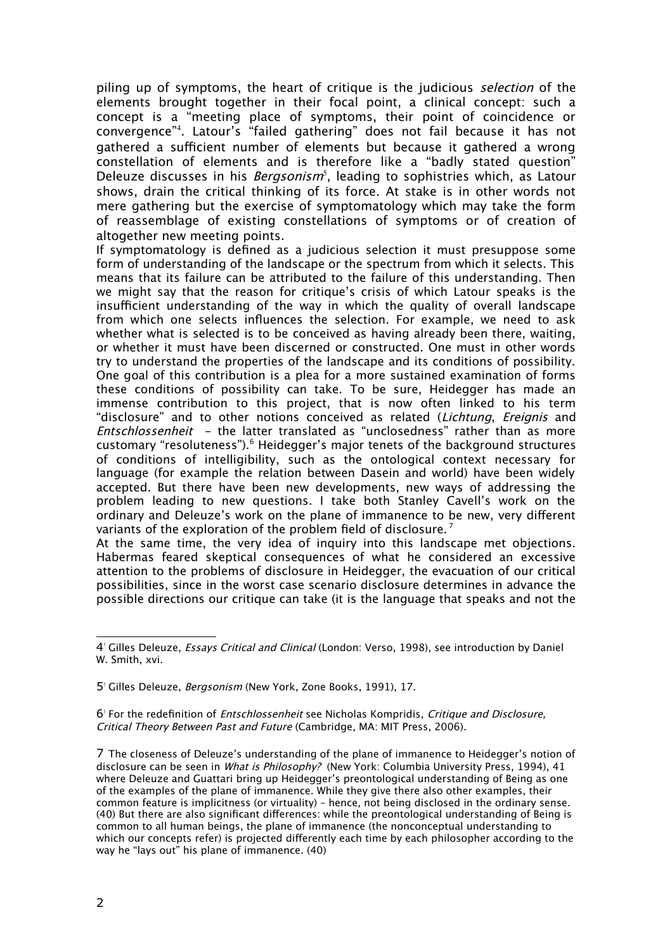piling up of symptoms, the heart of critique is the judicious selection of the elements brought together in their focal point, a clinical concept: such a concept is a "meeting place of symptoms, their point of coincidence or convergence"[4](#page-1-0) . Latour's "failed gathering" does not fail because it has not gathered a sufficient number of elements but because it gathered a wrong constellation of elements and is therefore like a "badly stated question" Deleuze discusses in his *Bergsonism*<sup>[5](#page-1-1)</sup>, leading to sophistries which, as Latour shows, drain the critical thinking of its force. At stake is in other words not mere gathering but the exercise of symptomatology which may take the form of reassemblage of existing constellations of symptoms or of creation of altogether new meeting points.

If symptomatology is defned as a judicious selection it must presuppose some form of understanding of the landscape or the spectrum from which it selects. This means that its failure can be attributed to the failure of this understanding. Then we might say that the reason for critique's crisis of which Latour speaks is the insufficient understanding of the way in which the quality of overall landscape from which one selects infuences the selection. For example, we need to ask whether what is selected is to be conceived as having already been there, waiting, or whether it must have been discerned or constructed. One must in other words try to understand the properties of the landscape and its conditions of possibility. One goal of this contribution is a plea for a more sustained examination of forms these conditions of possibility can take. To be sure, Heidegger has made an immense contribution to this project, that is now often linked to his term "disclosure" and to other notions conceived as related (Lichtung, Ereignis and Entschlossenheit - the latter translated as "unclosedness" rather than as more customary "resoluteness").<sup>[6](#page-1-2)</sup> Heidegger's major tenets of the background structures of conditions of intelligibility, such as the ontological context necessary for language (for example the relation between Dasein and world) have been widely accepted. But there have been new developments, new ways of addressing the problem leading to new questions. I take both Stanley Cavell's work on the ordinary and Deleuze's work on the plane of immanence to be new, very diferent variants of the exploration of the problem field of disclosure.<sup>[7](#page-1-3)</sup>

At the same time, the very idea of inquiry into this landscape met objections. Habermas feared skeptical consequences of what he considered an excessive attention to the problems of disclosure in Heidegger, the evacuation of our critical possibilities, since in the worst case scenario disclosure determines in advance the possible directions our critique can take (it is the language that speaks and not the

<span id="page-1-0"></span><sup>4&</sup>lt;sup>!</sup> Gilles Deleuze, *Essays Critical and Clinical* (London: Verso, 1998), see introduction by Daniel W. Smith, xvi.

<span id="page-1-1"></span><sup>5&</sup>lt;sup>'</sup> Gilles Deleuze, Bergsonism (New York, Zone Books, 1991), 17.

<span id="page-1-2"></span><sup>6&</sup>lt;sup>1</sup> For the redefinition of *Entschlossenheit* see Nicholas Kompridis, Critique and Disclosure, Critical Theory Between Past and Future (Cambridge, MA: MIT Press, 2006).

<span id="page-1-3"></span><sup>7</sup> The closeness of Deleuze's understanding of the plane of immanence to Heidegger's notion of disclosure can be seen in What is Philosophy? (New York: Columbia University Press, 1994), 41 where Deleuze and Guattari bring up Heidegger's preontological understanding of Being as one of the examples of the plane of immanence. While they give there also other examples, their common feature is implicitness (or virtuality) – hence, not being disclosed in the ordinary sense. (40) But there are also signifcant diferences: while the preontological understanding of Being is common to all human beings, the plane of immanence (the nonconceptual understanding to which our concepts refer) is projected diferently each time by each philosopher according to the way he "lays out" his plane of immanence. (40)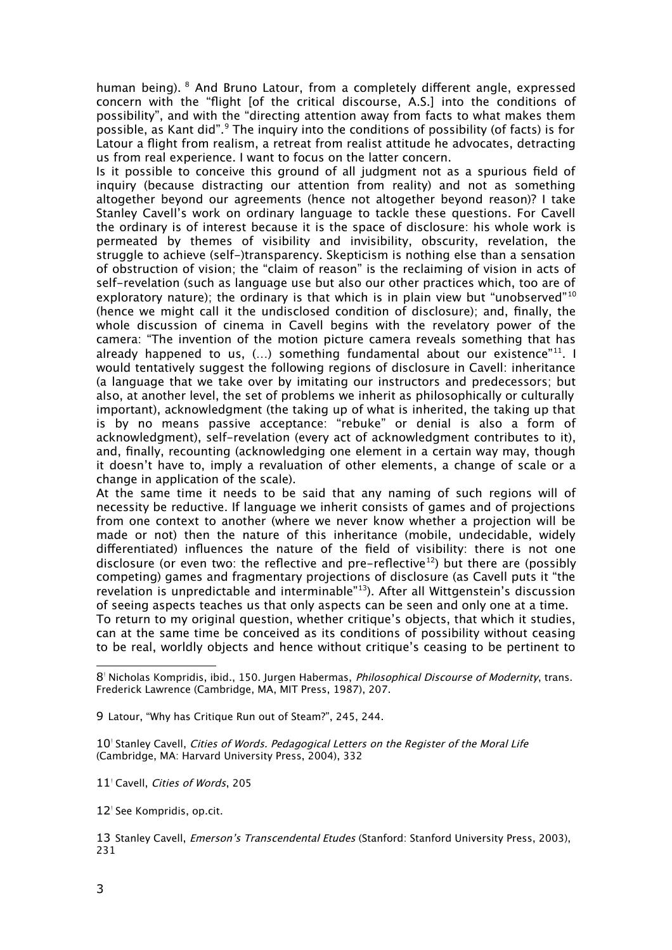human being). <sup>[8](#page-2-0)</sup> And Bruno Latour, from a completely different angle, expressed concern with the "fight [of the critical discourse, A.S.] into the conditions of possibility", and with the "directing attention away from facts to what makes them possible, as Kant did".<sup>[9](#page-2-1)</sup> The inquiry into the conditions of possibility (of facts) is for Latour a fight from realism, a retreat from realist attitude he advocates, detracting us from real experience. I want to focus on the latter concern.

Is it possible to conceive this ground of all judgment not as a spurious feld of inquiry (because distracting our attention from reality) and not as something altogether beyond our agreements (hence not altogether beyond reason)? I take Stanley Cavell's work on ordinary language to tackle these questions. For Cavell the ordinary is of interest because it is the space of disclosure: his whole work is permeated by themes of visibility and invisibility, obscurity, revelation, the struggle to achieve (self-)transparency. Skepticism is nothing else than a sensation of obstruction of vision; the "claim of reason" is the reclaiming of vision in acts of self-revelation (such as language use but also our other practices which, too are of exploratory nature); the ordinary is that which is in plain view but "unobserved"<sup>[10](#page-2-2)</sup> (hence we might call it the undisclosed condition of disclosure); and, fnally, the whole discussion of cinema in Cavell begins with the revelatory power of the camera: "The invention of the motion picture camera reveals something that has already happened to us,  $(...)$  something fundamental about our existence"<sup>[11](#page-2-3)</sup>. I would tentatively suggest the following regions of disclosure in Cavell: inheritance (a language that we take over by imitating our instructors and predecessors; but also, at another level, the set of problems we inherit as philosophically or culturally important), acknowledgment (the taking up of what is inherited, the taking up that is by no means passive acceptance: "rebuke" or denial is also a form of acknowledgment), self-revelation (every act of acknowledgment contributes to it), and, fnally, recounting (acknowledging one element in a certain way may, though it doesn't have to, imply a revaluation of other elements, a change of scale or a change in application of the scale).

At the same time it needs to be said that any naming of such regions will of necessity be reductive. If language we inherit consists of games and of projections from one context to another (where we never know whether a projection will be made or not) then the nature of this inheritance (mobile, undecidable, widely diferentiated) infuences the nature of the feld of visibility: there is not one disclosure (or even two: the reflective and pre-reflective<sup>[12](#page-2-4)</sup>) but there are (possibly competing) games and fragmentary projections of disclosure (as Cavell puts it "the revelation is unpredictable and interminable"[13](#page-2-5)). After all Wittgenstein's discussion of seeing aspects teaches us that only aspects can be seen and only one at a time.

To return to my original question, whether critique's objects, that which it studies, can at the same time be conceived as its conditions of possibility without ceasing to be real, worldly objects and hence without critique's ceasing to be pertinent to

<span id="page-2-1"></span>9 Latour, "Why has Critique Run out of Steam?", 245, 244.

<span id="page-2-2"></span>10<sup>'</sup> Stanley Cavell, Cities of Words. Pedagogical Letters on the Register of the Moral Life (Cambridge, MA: Harvard University Press, 2004), 332

<span id="page-2-3"></span>11<sup>'</sup> Cavell, Cities of Words, 205

<span id="page-2-4"></span>12<sup>'</sup> See Kompridis, op.cit.

<span id="page-2-5"></span>13 Stanley Cavell, *Emerson's Transcendental Etudes* (Stanford: Stanford University Press, 2003), 231

<span id="page-2-0"></span><sup>8&</sup>lt;sup>1</sup> Nicholas Kompridis, ibid., 150. Jurgen Habermas, *Philosophical Discourse of Modernity*, trans. Frederick Lawrence (Cambridge, MA, MIT Press, 1987), 207.